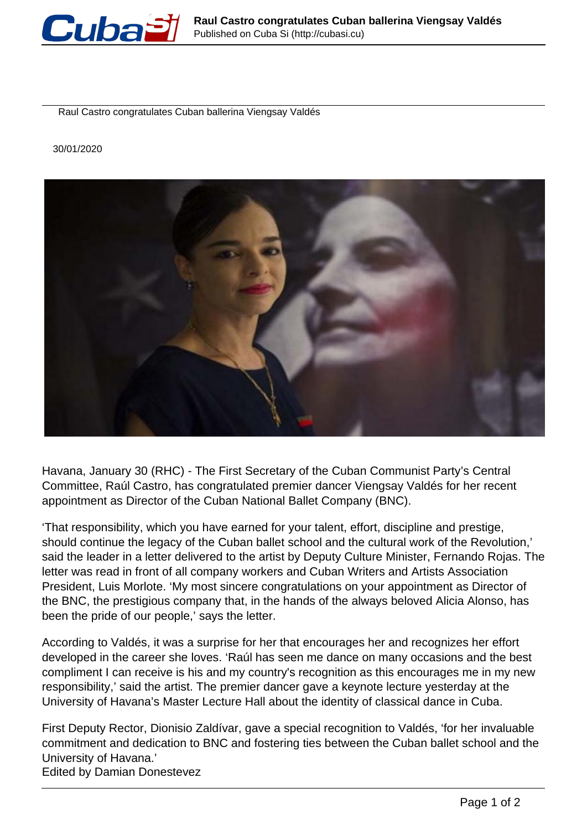

Raul Castro congratulates Cuban ballerina Viengsay Valdés

30/01/2020



Havana, January 30 (RHC) - The First Secretary of the Cuban Communist Party's Central Committee, Raúl Castro, has congratulated premier dancer Viengsay Valdés for her recent appointment as Director of the Cuban National Ballet Company (BNC).

'That responsibility, which you have earned for your talent, effort, discipline and prestige, should continue the legacy of the Cuban ballet school and the cultural work of the Revolution,' said the leader in a letter delivered to the artist by Deputy Culture Minister, Fernando Rojas. The letter was read in front of all company workers and Cuban Writers and Artists Association President, Luis Morlote. 'My most sincere congratulations on your appointment as Director of the BNC, the prestigious company that, in the hands of the always beloved Alicia Alonso, has been the pride of our people,' says the letter.

According to Valdés, it was a surprise for her that encourages her and recognizes her effort developed in the career she loves. 'Raúl has seen me dance on many occasions and the best compliment I can receive is his and my country's recognition as this encourages me in my new responsibility,' said the artist. The premier dancer gave a keynote lecture yesterday at the University of Havana's Master Lecture Hall about the identity of classical dance in Cuba.

First Deputy Rector, Dionisio Zaldívar, gave a special recognition to Valdés, 'for her invaluable commitment and dedication to BNC and fostering ties between the Cuban ballet school and the University of Havana.' Edited by Damian Donestevez